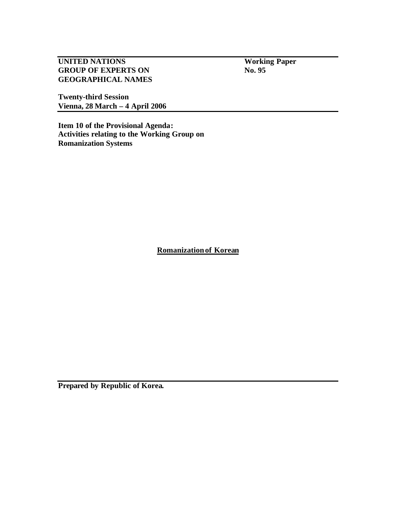**UNITED NATIONS Working Paper**<br> **GROUP OF EXPERTS ON No. 95 GROUP OF EXPERTS ON GEOGRAPHICAL NAMES**

**Twenty-third Session Vienna, 28 March – 4 April 2006**

**Item 10 of the Provisional Agenda: Activities relating to the Working Group on Romanization Systems**

**Romanizationof Korean**

**Prepared by Republic of Korea.**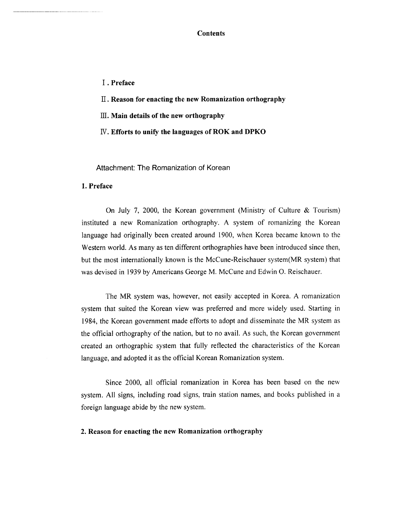**Contents** 

- I. Preface
- II. Reason for enacting the new Romanization orthography
- $III.$  Main details of the new orthography
- IV. Efforts to unify the languages of ROK and DPKO

Attachment: The Romanization of Korean

## 1. Preface

On July 7, 2000, the Korean government (Ministry of Culture  $&$  Tourism) instituted a new Romanization orthography. A system of romanizing the Korean language had originally been created around 1900, when Korea became known to the Western world. As many as ten different orthographies have been introduced since then, but the most internationally known is the McCune-Reischauer system(MR system) that was devised in 1939 by Americans George M. McCune and Edwin O. Reischauer.

The MR system was, however, not easily accepted in Korea. A romanization system that suited the Korean view was preferred and more widely used. Starting in 1984, the Korean government made efforts to adopt and disseminate the MR system as the official orthography of the nation, but to no avail. As such, the Korean government created an orthographic system that fully reflected the characteristics of the Korean language, and adopted it as the official Korean Romanization system.

Since 2000, all official romanization in Korea has been based on the new system. All signs, including road signs, train station names, and books published in a foreign language abide by the new system.

## 2. Reason for enacting the new Romanization orthography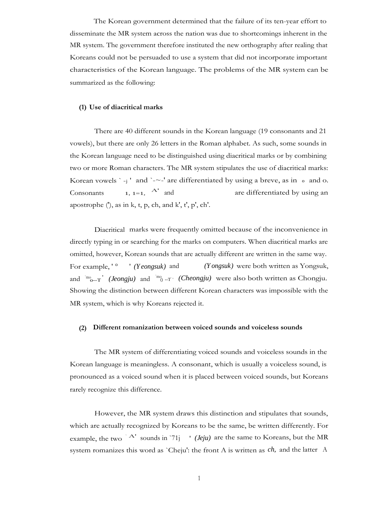The Korean government determined that the failure of its ten-year effort to disseminate the MR system across the nation was due to shortcomings inherent in the MR system. The government therefore instituted the new orthography after realing that Koreans could not be persuaded to use a system that did not incorporate important characteristics of the Korean language. The problems of the MR system can be summarized as the following:

### **(1) Use of diacritical marks**

There are 40 different sounds in the Korean language (19 consonants and 21 vowels), but there are only 26 letters in the Roman alphabet. As such, some sounds in the Korean language need to be distinguished using diacritical marks or by combining two or more Roman characters. The MR system stipulates the use of diacritical marks: Korean vowels `-i' and `-~-' are differentiated by using a breve, as in  $\circ$  and o. Consonants 1,  $1=1$ ,  $A'$  and are differentiated by using an apostrophe  $(')$ , as in k, t, p, ch, and k', t', p', ch'.

Diacritical marks were frequently omitted because of the inconvenience in directly typing in or searching for the marks on computers. When diacritical marks are omitted, however, Korean sounds that are actually different are written in the same way. For example, ' <sup>o</sup> ' *(Yeongsuk)* and *(Yongsuk)* were both written as Yongsuk, and  $\lim_{\Omega \to \Gamma}$  *(Jeongju)* and  $\lim_{\Omega \to \Gamma}$  *(Cheongju)* were also both written as Chongju. Showing the distinction between different Korean characters was impossible with the MR system, which is why Koreans rejected it.

#### **(2) Different romanization between voiced sounds and voiceless sounds**

The MR system of differentiating voiced sounds and voiceless sounds in the Korean language is meaningless. A consonant, which is usually a voiceless sound, is pronounced as a voiced sound when it is placed between voiced sounds, but Koreans rarely recognize this difference.

However, the MR system draws this distinction and stipulates that sounds, which are actually recognized by Koreans to be the same, be written differently. For example, the two  $\Delta$ <sup>'</sup> sounds in '71j  $\Delta$ ' *(Jeju)* are the same to Koreans, but the MR system romanizes this word as `Cheju': the front A is written as *ch,* and the latter A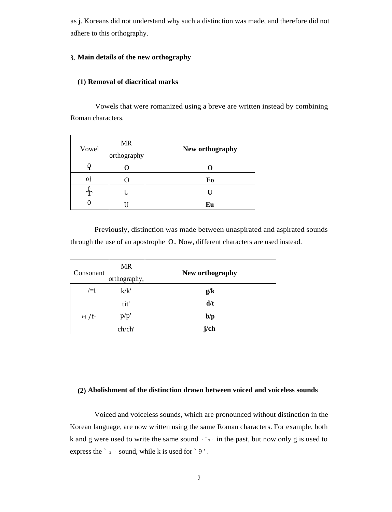as j. Koreans did not understand why such a distinction was made, and therefore did not adhere to this orthography.

## **3. Main details of the new orthography**

# **(1) Removal of diacritical marks**

Vowels that were romanized using a breve are written instead by combining Roman characters.

| Vowel    | <b>MR</b><br>orthography | New orthography  |
|----------|--------------------------|------------------|
|          |                          | $\left( \right)$ |
| $\Omega$ |                          | Eo               |
|          |                          | П                |
|          |                          | Eu               |

Previously, distinction was made between unaspirated and aspirated sounds through the use of an apostrophe 0. Now, different characters are used instead.

| Consonant    | <b>MR</b><br>orthography, | New orthography |
|--------------|---------------------------|-----------------|
| $/=i$        | k/k'                      | g/k             |
|              | tit'                      | d/t             |
| $1 = 7$ / f- | p/p'                      | b/p             |
|              | ch/ch'                    | j/ch            |

## **(2) Abolishment of the distinction drawn between voiced and voiceless sounds**

Voiced and voiceless sounds, which are pronounced without distinction in the Korean language, are now written using the same Roman characters. For example, both k and g were used to write the same sound  $\mathcal{L}_{1}$  in the past, but now only g is used to express the  $\degree$  1  $\degree$  sound, while k is used for  $\degree$  9  $\degree$ .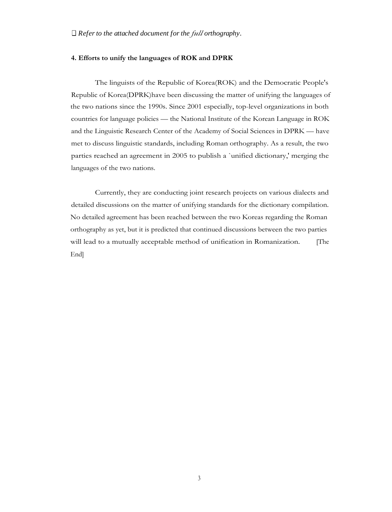#### **4. Efforts to unify the languages of ROK and DPRK**

The linguists of the Republic of Korea(ROK) and the Democratic People's Republic of Korea(DPRK)have been discussing the matter of unifying the languages of the two nations since the 1990s. Since 2001 especially, top-level organizations in both countries for language policies — the National Institute of the Korean Language in ROK and the Linguistic Research Center of the Academy of Social Sciences in DPRK — have met to discuss linguistic standards, including Roman orthography. As a result, the two parties reached an agreement in 2005 to publish a `unified dictionary,' merging the languages of the two nations.

Currently, they are conducting joint research projects on various dialects and detailed discussions on the matter of unifying standards for the dictionary compilation. No detailed agreement has been reached between the two Koreas regarding the Roman orthography as yet, but it is predicted that continued discussions between the two parties will lead to a mutually acceptable method of unification in Romanization. [The End]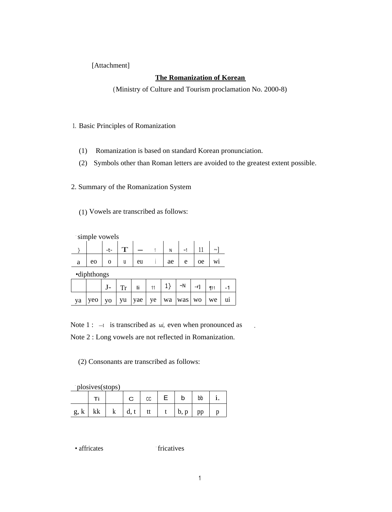[Attachment]

## **The Romanization of Korean**

(Ministry of Culture and Tourism proclamation No. 2000-8)

- 1. Basic Principles of Romanization
	- (1) Romanization is based on standard Korean pronunciation.
	- (2) Symbols other than Roman letters are avoided to the greatest extent possible.
- 2. Summary of the Romanization System
	- (1) Vowels are transcribed as follows:

| simple vowels |    |  |  |    |  |    |                       |    |        |
|---------------|----|--|--|----|--|----|-----------------------|----|--------|
|               |    |  |  |    |  |    | $\tilde{\phantom{a}}$ |    | $\sim$ |
| a             | eo |  |  | eu |  | ae | e                     | oe | W1     |

•diphthongs

|    |                                                                                                        | Tr | – li | $_{11}$   1}   ~N   -r] |  | $\sqrt{111}$ |  |
|----|--------------------------------------------------------------------------------------------------------|----|------|-------------------------|--|--------------|--|
| ya | $  \text{ yeo}  $ yo $  \text{ yu}  $ yae $  \text{ ye}  $ wa $  \text{ was}  $ wo $  \text{ we}  $ ui |    |      |                         |  |              |  |

Note  $1: -I$  is transcribed as *ui*, even when pronounced as . Note 2 : Long vowels are not reflected in Romanization.

(2) Consonants are transcribed as follows:

. plosives(stops)

|                                                                  |  |  | $C \mid C \mid E \mid b \mid$ |  |
|------------------------------------------------------------------|--|--|-------------------------------|--|
| $g, k \mid kk \mid k \mid d, t \mid tt \mid t \mid b, p \mid pp$ |  |  |                               |  |

• affricates

fricatives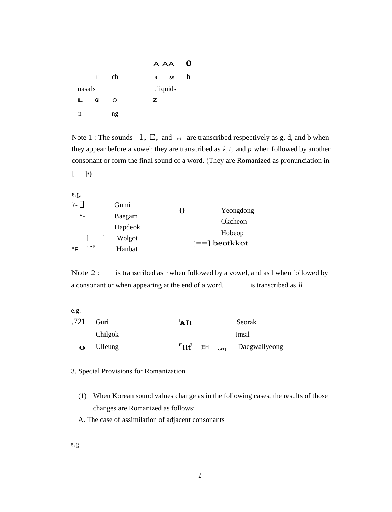|   |        |    |         | A AA | O |
|---|--------|----|---------|------|---|
|   | jj.    | ch | s       | SS   | h |
|   | nasals |    | liquids |      |   |
| L | GI     | ∩  | z       |      |   |
| n |        | ng |         |      |   |

Note 1 : The sounds  $1, E$ , and  $\equiv$  are transcribed respectively as g, d, and b when they appear before a vowel; they are transcribed as *k, t,* and *p* when followed by another consonant or form the final sound of a word. (They are Romanized as pronunciation in

 $[$  ]•)

| e.g.    |                                      |         |          |                 |
|---------|--------------------------------------|---------|----------|-----------------|
| $7 - 1$ |                                      | Gumi    | $\Omega$ |                 |
|         | $\circ$                              | Baegam  |          | Yeongdong       |
|         |                                      |         |          | Okcheon         |
|         |                                      | Hapdeok |          |                 |
|         | $\sim$ 1                             |         |          | Hobeop          |
|         |                                      | Wolgot  |          | $[==]$ beotkkot |
|         | $\mathsf{P} \restriction \mathsf{P}$ | Hanbat  |          |                 |

Note 2 : is transcribed as r when followed by a vowel, and as l when followed by a consonant or when appearing at the end of a word. is transcribed as *ll.*

e.g.

|          | .721 Guri | $1A$ It           |     | Seorak                        |
|----------|-----------|-------------------|-----|-------------------------------|
|          | Chilgok   |                   |     | Imsil                         |
| $\Omega$ | Ulleung   | $\mathrm{^{E}Hf}$ | [EH | <sub>offl</sub> Daegwallyeong |

### 3. Special Provisions for Romanization

- (1) When Korean sound values change as in the following cases, the results of those changes are Romanized as follows:
- A. The case of assimilation of adjacent consonants

e.g.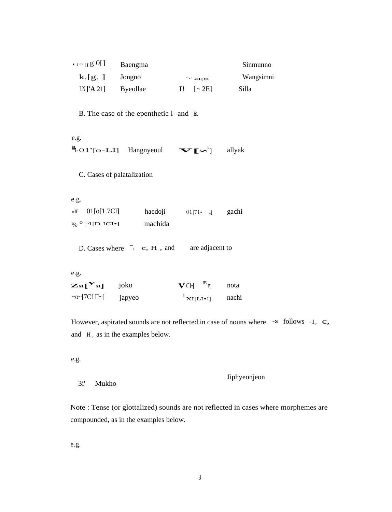| $109$ g <sub>11</sub> $\sigma_1$ | Baengma         |                                 | Sinmunno  |
|----------------------------------|-----------------|---------------------------------|-----------|
| $k$ . $[g, ]$                    | Jongno          | $\mathrm{cl}_{\mathbf{z1}}$ [\$ | Wangsimni |
| $LN$ ['A 21]                     | <b>Byeollae</b> | $\sim$ 2E]                      | Silla     |

B. The case of the epenthetic l- and E.

e.g.  $\frac{g}{2}$ -01'[o-LI]  $\mathbf{v}$ [ $\mathbf{z}^k$ ] Hangnyeoul allyak

C. Cases of palatalization

e.g.  $_{\mathrm{off}}$ 01[o[1.7Cl] haedoji  $01$ [71- 1] gachi  $\%$ <sup>o</sup><sub>l</sub><sup>l</sup>4[D ICI•] machida

D. Cases where <sup>-1</sup> c, H, and are adjacent to

e.g.

| $Za[$ <sup>Y</sup> a]           | joko   | $V$ CI $\bullet$ <sup>E</sup> F | nota  |
|---------------------------------|--------|---------------------------------|-------|
| $~\sim$ 0 $~$ [7Cf II $~\sim$ ] | japyeo | $\sum_{i=1}^{i}$ XI[LI•1]       | nachi |

However, aspirated sounds are not reflected in case of nouns where -s follows -1, c, and H, as in the examples below.

e.g.

 $3i'$ 

```
Jiphyeonjeon
Mukho
```
Note: Tense (or glottalized) sounds are not reflected in cases where morphemes are compounded, as in the examples below.

e.g.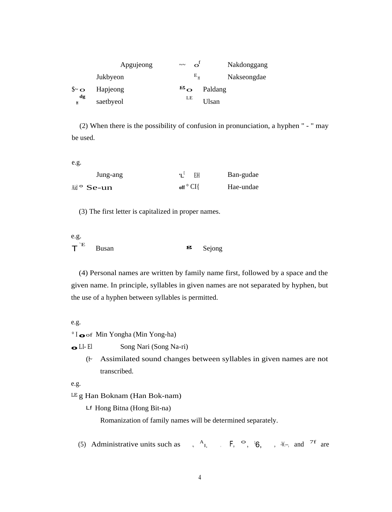|                      | Apgujeong | $\sim\sim$                | $\sigma^{\text{L}}$ | Nakdonggang |
|----------------------|-----------|---------------------------|---------------------|-------------|
|                      | Jukbyeon  |                           | $E_{\mu}$           | Nakseongdae |
| $\mathbf{\$\sim o$}$ | Hapjeong  | $\mathbf{g}_{\mathbf{O}}$ |                     | Paldang     |
| dg<br>Н              | saetbyeol | LE                        |                     | Ulsan       |

(2) When there is the possibility of confusion in pronunciation, a hyphen " - " may be used.

e.g.

| Jung-ang                                            | $'L^{\sharp}$ EH              | Ban-gudae |
|-----------------------------------------------------|-------------------------------|-----------|
| $\mathsf{Aid} \circ \mathbf{Se}\text{-}\mathbf{un}$ | $_{\mathrm{off}}$ $\circ$ CI{ | Hae-undae |

(3) The first letter is capitalized in proper names.

| e.g.             |              |  |                     |
|------------------|--------------|--|---------------------|
| $T$ <sup>E</sup> | <b>Busan</b> |  | $\mathbf{g}$ Sejong |

(4) Personal names are written by family name first, followed by a space and the given name. In principle, syllables in given names are not separated by hyphen, but the use of a hyphen between syllables is permitted.

### e.g.

° I **o**of Min Yongha (Min Yong-ha)

**o**LI- El Song Nari (Song Na-ri)

(~1 Assimilated sound changes between syllables in given names are not transcribed.

e.g.

LE g Han Boknam (Han Bok-nam)

Lf Hong Bitna (Hong Bit-na)

Romanization of family names will be determined separately.

 $(5)$  Administrative units such as  $A_{1}$ , F,  $\circ$ ,  $B_{1}$ , W<sub> $\sim$ </sub>, and <sup>7f</sup> are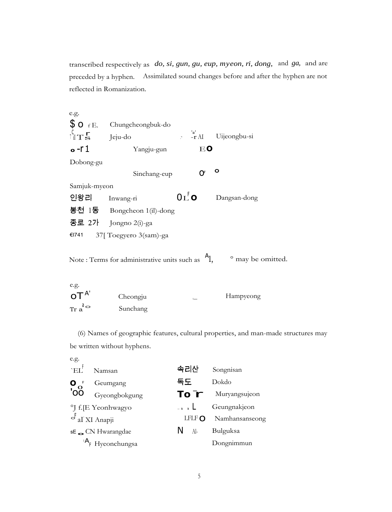transcribed respectively as *do, si, gun, gu, eup, myeon, ri, dong,* and *ga,* and are preceded by a hyphen. Assimilated sound changes before and after the hyphen are not reflected in Romanization.

e.g.  $\textbf{\$O}_{\text{f}E}$ . Chungcheongbuk-do  $\int_{S}$  Jeju-do ... ...  $\int_{\parallel T}$  $\left\vert \frac{\mathbf{L}^{\prime}}{-\mathbf{r}}\right\vert$  AI Uijeongbu-si **<sup>o</sup>** -r 1 Yangju-gun E**o** Dobong-gu Sinchang-eup  $Q<sup>F</sup>$   $Q<sup>F</sup>$ Samjuk-myeon Inwang-ri  $0_L^{\dagger}$  0 인왕리 Dangsan-dong 봉천 1동 Bongcheon 1(il)-dong 종로 2가 Jongno 2(i)-ga €I741 37[ Toegyero 3(sam)-ga Note : Terms for administrative units such as  $A_1$ , <sup>o</sup> may be omitted.

| e.g.                                  |          |           |
|---------------------------------------|----------|-----------|
| $\mathsf{O} \mathsf{T}^{\mathsf{A}'}$ | Cheongju | Hampyeong |
| Tr $a^{\circ}$                        | Sunchang |           |

(6) Names of geographic features, cultural properties, and man-made structures may be written without hyphens.

| e.g.                                   |                                            |               |                    |
|----------------------------------------|--------------------------------------------|---------------|--------------------|
| $E_{\rm HI}$                           | Namsan                                     | 속리산           | Songnisan          |
| $\mathbf{O}_{\mathbf{O}}^{\mathbf{O}}$ | Geumgang                                   | 독도            | Dokdo              |
|                                        | Gyeongbokgung                              |               | To T Muryangsujeon |
|                                        | <sup>o</sup> J f. <sub>[E</sub> Yeonhwagyo | $-1$ $1$      | Geungnakjeon       |
|                                        | $\sigma$ al XI Anapji                      | LFLF $\Omega$ | Namhansanseong     |
|                                        | $sE$ CN Hwarangdae                         | N.<br>Al-     | Bulguksa           |
|                                        | $AF$ Hyeonchungsa                          |               | Dongnimmun         |
|                                        |                                            |               |                    |